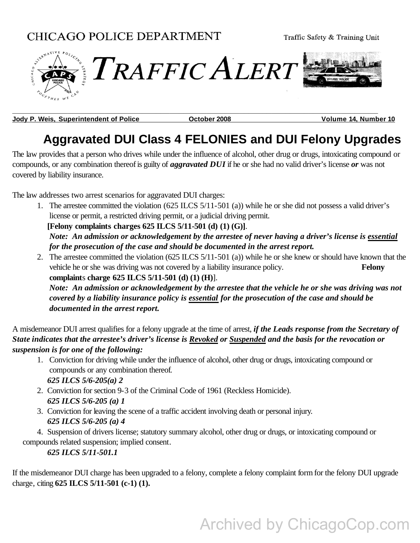

**Jody P. Weis, Superintendent of Police Collection Corporation Control Control Control Colume 14, Number 10** 

**\_\_\_\_\_\_\_\_\_\_\_\_\_\_\_\_\_\_\_\_\_\_\_\_\_\_\_\_\_\_\_\_\_\_\_\_\_\_\_\_\_\_\_\_\_\_\_\_\_\_\_\_\_\_\_\_\_\_\_\_\_\_\_\_\_\_\_\_\_\_\_\_\_\_\_\_\_\_\_**

## **Aggravated DUI Class 4 FELONIES and DUI Felony Upgrades**

The law provides that a person who drives while under the influence of alcohol, other drug or drugs, intoxicating compound or compounds, or any combination thereof is guilty of *aggravated DUI* if he or she had no valid driver's license *or* was not covered by liability insurance.

The law addresses two arrest scenarios for aggravated DUI charges:

1. The arrestee committed the violation (625 ILCS 5/11-501 (a)) while he or she did not possess a valid driver's license or permit, a restricted driving permit, or a judicial driving permit.

 **[Felony complaints charges 625 ILCS 5/11-501 (d) (1) (G)]**.

*Note: An admission or acknowledgement by the arrestee of never having a driver's license is essential for the prosecution of the case and should be documented in the arrest report.*

2. The arrestee committed the violation (625 ILCS 5/11-501 (a)) while he or she knew or should have known that the vehicle he or she was driving was not covered by a liability insurance policy. **Felony complaint**s **charge 625 ILCS 5/11-501 (d) (1) (H)**].

*Note: An admission or acknowledgement by the arrestee that the vehicle he or she was driving was not covered by a liability insurance policy is essential for the prosecution of the case and should be documented in the arrest report.*

A misdemeanor DUI arrest qualifies for a felony upgrade at the time of arrest, *if the Leads response from the Secretary of State indicates that the arrestee's driver's license is Revoked or Suspended and the basis for the revocation or suspension is for one of the following:*

- 1. Conviction for driving while under the influence of alcohol, other drug or drugs, intoxicating compound or compounds or any combination thereof.  *625 ILCS 5/6-205(a) 2*
- 2.Conviction for section 9-3 of the Criminal Code of 1961 (Reckless Homicide). *625 ILCS 5/6-205 (a) 1*
- 3.Conviction for leaving the scene of a traffic accident involving death or personal injury. *625 ILCS 5/6-205 (a) 4*

4.Suspension of drivers license; statutory summary alcohol, other drug or drugs, or intoxicating compound or compounds related suspension; implied consent.

 *625 ILCS 5/11-501.1* 

If the misdemeanor DUI charge has been upgraded to a felony, complete a felony complaint form for the felony DUI upgrade charge, citing **625 ILCS 5/11-501 (c-1) (1).** 

# Archived by ChicagoCop.com